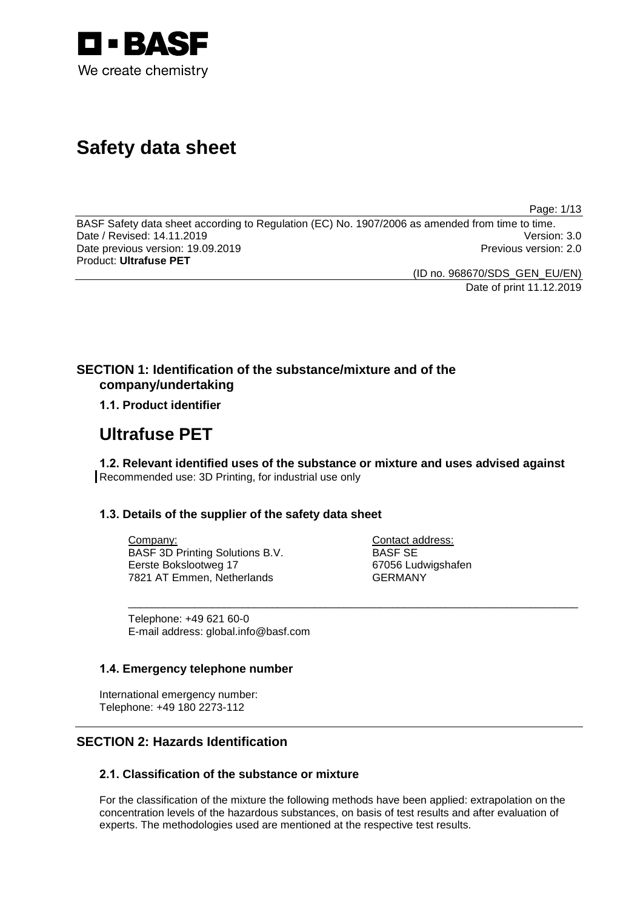

# **Safety data sheet**

Page: 1/13

BASF Safety data sheet according to Regulation (EC) No. 1907/2006 as amended from time to time.<br>Date / Revised: 14.11.2019 Version: 3.0 Date / Revised: 14.11.2019 Date previous version: 19.09.2019 **Previous version: 2.0** Previous version: 2.0 Product: **Ultrafuse PET**

(ID no. 968670/SDS\_GEN\_EU/EN)

Date of print 11.12.2019

## **SECTION 1: Identification of the substance/mixture and of the company/undertaking**

## **1.1. Product identifier**

## **Ultrafuse PET**

**1.2. Relevant identified uses of the substance or mixture and uses advised against** Recommended use: 3D Printing, for industrial use only

\_\_\_\_\_\_\_\_\_\_\_\_\_\_\_\_\_\_\_\_\_\_\_\_\_\_\_\_\_\_\_\_\_\_\_\_\_\_\_\_\_\_\_\_\_\_\_\_\_\_\_\_\_\_\_\_\_\_\_\_\_\_\_\_\_\_\_\_\_\_\_\_\_\_\_

## **1.3. Details of the supplier of the safety data sheet**

Company: BASF 3D Printing Solutions B.V. Eerste Bokslootweg 17 7821 AT Emmen, Netherlands

Contact address: BASF SE 67056 Ludwigshafen GERMANY

Telephone: +49 621 60-0 E-mail address: global.info@basf.com

### **1.4. Emergency telephone number**

International emergency number: Telephone: +49 180 2273-112

## **SECTION 2: Hazards Identification**

## **2.1. Classification of the substance or mixture**

For the classification of the mixture the following methods have been applied: extrapolation on the concentration levels of the hazardous substances, on basis of test results and after evaluation of experts. The methodologies used are mentioned at the respective test results.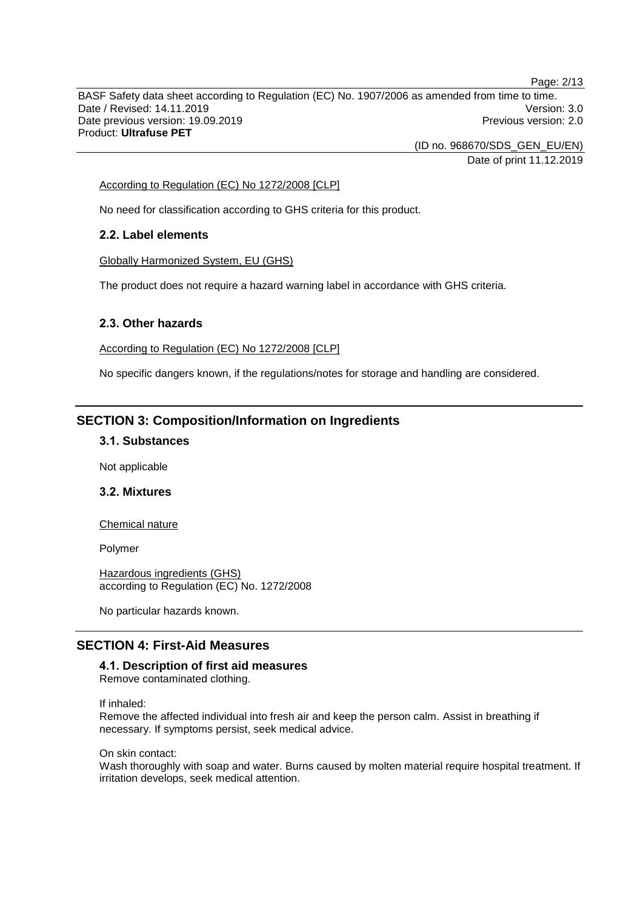BASF Safety data sheet according to Regulation (EC) No. 1907/2006 as amended from time to time. Date / Revised: 14.11.2019 Version: 3.0 Date previous version: 19.09.2019 **Previous version: 2.0** Previous version: 2.0 Product: **Ultrafuse PET**

> (ID no. 968670/SDS\_GEN\_EU/EN) Date of print 11.12.2019

#### According to Regulation (EC) No 1272/2008 [CLP]

No need for classification according to GHS criteria for this product.

### **2.2. Label elements**

Globally Harmonized System, EU (GHS)

The product does not require a hazard warning label in accordance with GHS criteria.

#### **2.3. Other hazards**

According to Regulation (EC) No 1272/2008 [CLP]

No specific dangers known, if the regulations/notes for storage and handling are considered.

## **SECTION 3: Composition/Information on Ingredients**

#### **3.1. Substances**

Not applicable

## **3.2. Mixtures**

Chemical nature

Polymer

Hazardous ingredients (GHS) according to Regulation (EC) No. 1272/2008

No particular hazards known.

## **SECTION 4: First-Aid Measures**

## **4.1. Description of first aid measures**

Remove contaminated clothing.

If inhaled:

Remove the affected individual into fresh air and keep the person calm. Assist in breathing if necessary. If symptoms persist, seek medical advice.

On skin contact:

Wash thoroughly with soap and water. Burns caused by molten material require hospital treatment. If irritation develops, seek medical attention.

Page: 2/13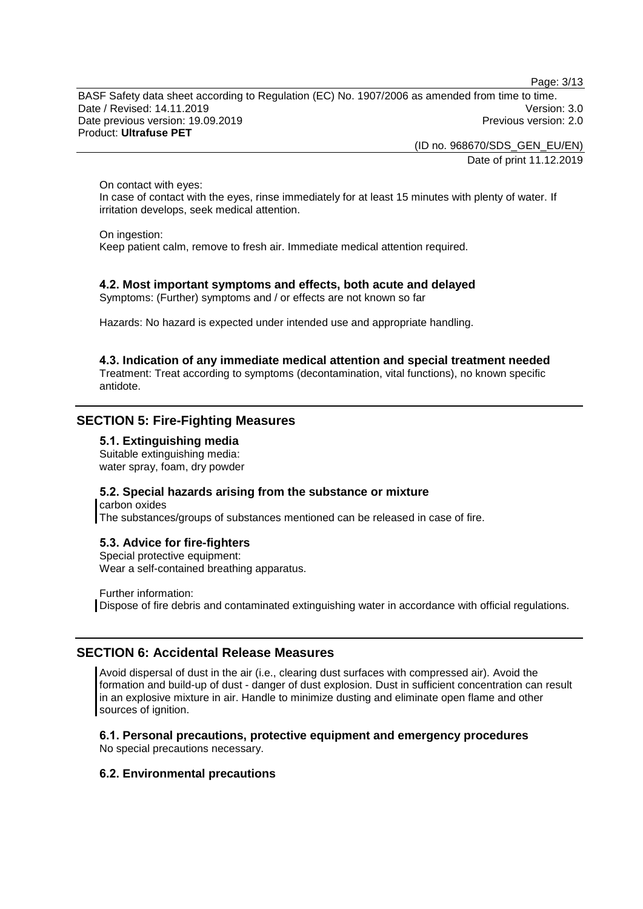Page: 3/13

BASF Safety data sheet according to Regulation (EC) No. 1907/2006 as amended from time to time. Date / Revised: 14.11.2019 Version: 3.0 Date previous version: 19.09.2019 **Previous version: 2.0** Previous version: 2.0 Product: **Ultrafuse PET**

> (ID no. 968670/SDS\_GEN\_EU/EN) Date of print 11.12.2019

On contact with eyes:

In case of contact with the eyes, rinse immediately for at least 15 minutes with plenty of water. If irritation develops, seek medical attention.

On ingestion:

Keep patient calm, remove to fresh air. Immediate medical attention required.

### **4.2. Most important symptoms and effects, both acute and delayed**

Symptoms: (Further) symptoms and / or effects are not known so far

Hazards: No hazard is expected under intended use and appropriate handling.

**4.3. Indication of any immediate medical attention and special treatment needed** Treatment: Treat according to symptoms (decontamination, vital functions), no known specific antidote.

## **SECTION 5: Fire-Fighting Measures**

#### **5.1. Extinguishing media**

Suitable extinguishing media: water spray, foam, dry powder

#### **5.2. Special hazards arising from the substance or mixture**

carbon oxides The substances/groups of substances mentioned can be released in case of fire.

#### **5.3. Advice for fire-fighters**

Special protective equipment: Wear a self-contained breathing apparatus.

Further information: Dispose of fire debris and contaminated extinguishing water in accordance with official regulations.

#### **SECTION 6: Accidental Release Measures**

Avoid dispersal of dust in the air (i.e., clearing dust surfaces with compressed air). Avoid the formation and build-up of dust - danger of dust explosion. Dust in sufficient concentration can result in an explosive mixture in air. Handle to minimize dusting and eliminate open flame and other sources of ignition.

#### **6.1. Personal precautions, protective equipment and emergency procedures**

No special precautions necessary.

#### **6.2. Environmental precautions**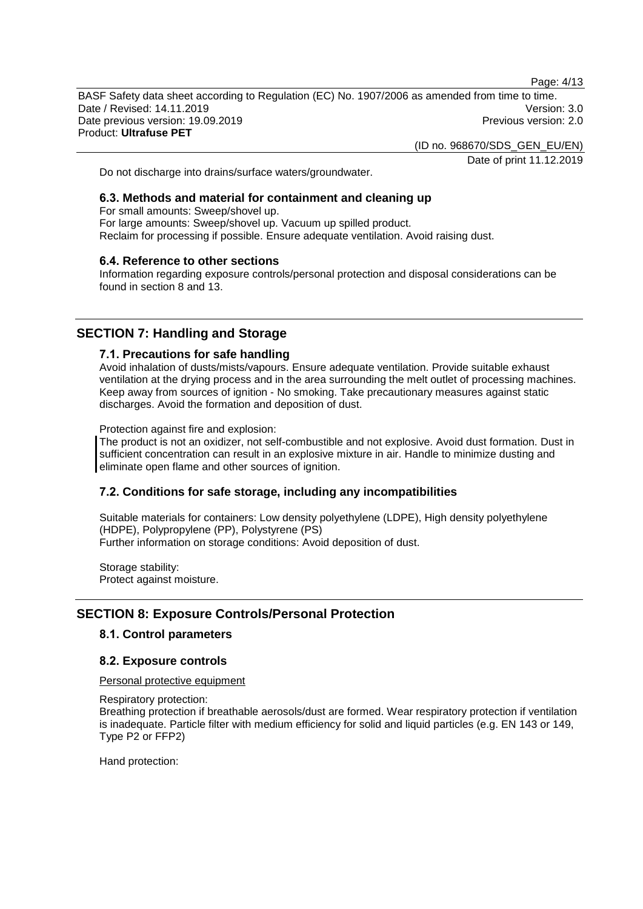Page: 4/13

BASF Safety data sheet according to Regulation (EC) No. 1907/2006 as amended from time to time. Date / Revised: 14.11.2019 Version: 3.0 Date previous version: 19.09.2019 **Previous version: 2.0** Previous version: 2.0 Product: **Ultrafuse PET**

(ID no. 968670/SDS\_GEN\_EU/EN)

Date of print 11.12.2019

Do not discharge into drains/surface waters/groundwater.

## **6.3. Methods and material for containment and cleaning up**

For small amounts: Sweep/shovel up. For large amounts: Sweep/shovel up. Vacuum up spilled product. Reclaim for processing if possible. Ensure adequate ventilation. Avoid raising dust.

#### **6.4. Reference to other sections**

Information regarding exposure controls/personal protection and disposal considerations can be found in section 8 and 13.

## **SECTION 7: Handling and Storage**

#### **7.1. Precautions for safe handling**

Avoid inhalation of dusts/mists/vapours. Ensure adequate ventilation. Provide suitable exhaust ventilation at the drying process and in the area surrounding the melt outlet of processing machines. Keep away from sources of ignition - No smoking. Take precautionary measures against static discharges. Avoid the formation and deposition of dust.

Protection against fire and explosion:

The product is not an oxidizer, not self-combustible and not explosive. Avoid dust formation. Dust in sufficient concentration can result in an explosive mixture in air. Handle to minimize dusting and eliminate open flame and other sources of ignition.

### **7.2. Conditions for safe storage, including any incompatibilities**

Suitable materials for containers: Low density polyethylene (LDPE), High density polyethylene (HDPE), Polypropylene (PP), Polystyrene (PS) Further information on storage conditions: Avoid deposition of dust.

Storage stability: Protect against moisture.

### **SECTION 8: Exposure Controls/Personal Protection**

#### **8.1. Control parameters**

#### **8.2. Exposure controls**

Personal protective equipment

Respiratory protection: Breathing protection if breathable aerosols/dust are formed. Wear respiratory protection if ventilation is inadequate. Particle filter with medium efficiency for solid and liquid particles (e.g. EN 143 or 149, Type P2 or FFP2)

Hand protection: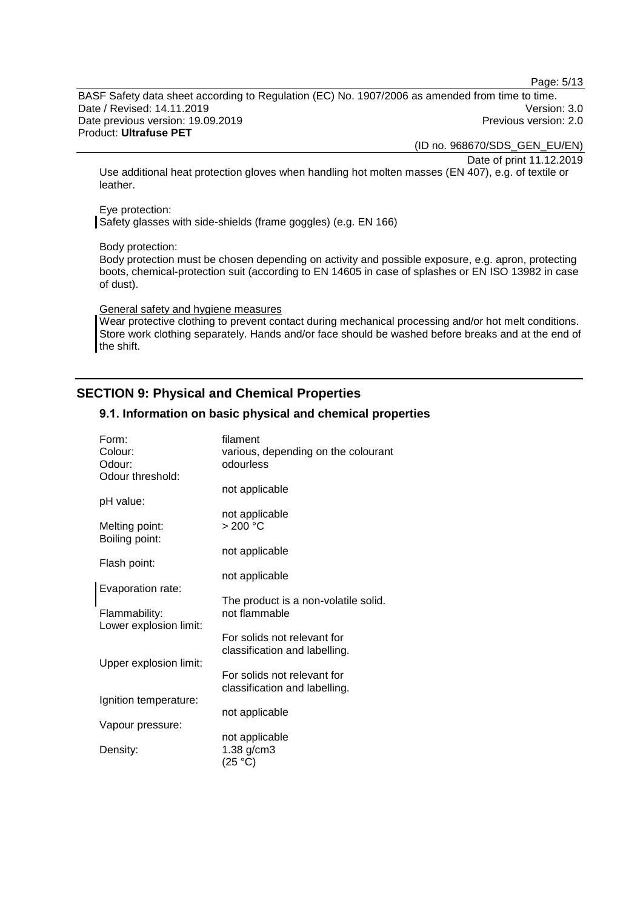Page: 5/13

BASF Safety data sheet according to Regulation (EC) No. 1907/2006 as amended from time to time. Date / Revised: 14.11.2019 Version: 3.0 Date previous version: 19.09.2019 **Previous version: 2.0** Previous version: 2.0 Product: **Ultrafuse PET**

(ID no. 968670/SDS\_GEN\_EU/EN)

Date of print 11.12.2019

Use additional heat protection gloves when handling hot molten masses (EN 407), e.g. of textile or leather.

#### Eye protection:

Safety glasses with side-shields (frame goggles) (e.g. EN 166)

#### Body protection:

Body protection must be chosen depending on activity and possible exposure, e.g. apron, protecting boots, chemical-protection suit (according to EN 14605 in case of splashes or EN ISO 13982 in case of dust).

#### General safety and hygiene measures

Wear protective clothing to prevent contact during mechanical processing and/or hot melt conditions. Store work clothing separately. Hands and/or face should be washed before breaks and at the end of the shift.

## **SECTION 9: Physical and Chemical Properties**

#### **9.1. Information on basic physical and chemical properties**

| Form:<br>Colour:                 | filament<br>various, depending on the colourant              |
|----------------------------------|--------------------------------------------------------------|
| Odour:                           | odourless                                                    |
| Odour threshold:                 | not applicable                                               |
| pH value:                        |                                                              |
|                                  | not applicable                                               |
| Melting point:<br>Boiling point: | > 200 °C                                                     |
|                                  | not applicable                                               |
| Flash point:                     |                                                              |
|                                  | not applicable                                               |
| Evaporation rate:                | The product is a non-volatile solid.                         |
| Flammability:                    | not flammable                                                |
| Lower explosion limit:           |                                                              |
|                                  | For solids not relevant for<br>classification and labelling. |
| Upper explosion limit:           |                                                              |
|                                  | For solids not relevant for                                  |
|                                  | classification and labelling.                                |
| Ignition temperature:            |                                                              |
| Vapour pressure:                 | not applicable                                               |
|                                  | not applicable                                               |
| Density:                         | $1.38$ g/cm $3$                                              |
|                                  | (25 °C)                                                      |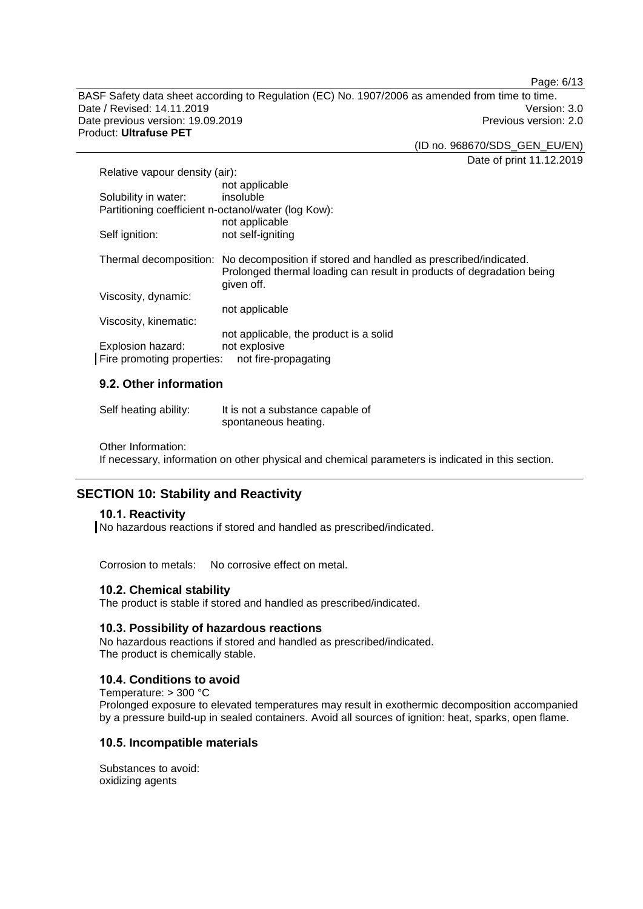Page: 6/13

BASF Safety data sheet according to Regulation (EC) No. 1907/2006 as amended from time to time. Date / Revised: 14.11.2019 Version: 3.0 Date previous version: 19.09.2019 **Previous version: 2.0** Previous version: 2.0 Product: **Ultrafuse PET**

(ID no. 968670/SDS\_GEN\_EU/EN)

Date of print 11.12.2019

| Relative vapour density (air):                      |                                                                                                                                                                               |  |
|-----------------------------------------------------|-------------------------------------------------------------------------------------------------------------------------------------------------------------------------------|--|
|                                                     | not applicable                                                                                                                                                                |  |
| Solubility in water:                                | insoluble                                                                                                                                                                     |  |
| Partitioning coefficient n-octanol/water (log Kow): |                                                                                                                                                                               |  |
|                                                     | not applicable                                                                                                                                                                |  |
| Self ignition:                                      | not self-igniting                                                                                                                                                             |  |
|                                                     | Thermal decomposition: No decomposition if stored and handled as prescribed/indicated.<br>Prolonged thermal loading can result in products of degradation being<br>given off. |  |
| Viscosity, dynamic:                                 |                                                                                                                                                                               |  |
|                                                     | not applicable                                                                                                                                                                |  |
| Viscosity, kinematic:                               |                                                                                                                                                                               |  |
|                                                     | not applicable, the product is a solid                                                                                                                                        |  |
| Explosion hazard:                                   | not explosive                                                                                                                                                                 |  |
| Fire promoting properties:<br>not fire-propagating  |                                                                                                                                                                               |  |

## **9.2. Other information**

| Self heating ability: | It is not a substance capable of |
|-----------------------|----------------------------------|
|                       | spontaneous heating.             |

Other Information:

If necessary, information on other physical and chemical parameters is indicated in this section.

## **SECTION 10: Stability and Reactivity**

#### **10.1. Reactivity**

No hazardous reactions if stored and handled as prescribed/indicated.

Corrosion to metals: No corrosive effect on metal.

#### **10.2. Chemical stability**

The product is stable if stored and handled as prescribed/indicated.

#### **10.3. Possibility of hazardous reactions**

No hazardous reactions if stored and handled as prescribed/indicated. The product is chemically stable.

## **10.4. Conditions to avoid**

Temperature: > 300 °C Prolonged exposure to elevated temperatures may result in exothermic decomposition accompanied by a pressure build-up in sealed containers. Avoid all sources of ignition: heat, sparks, open flame.

### **10.5. Incompatible materials**

Substances to avoid: oxidizing agents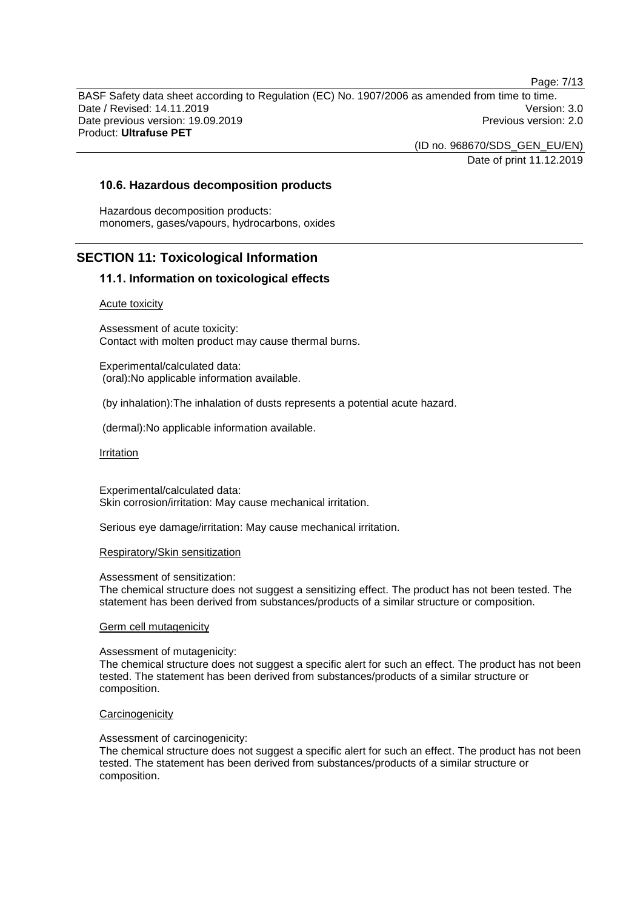BASF Safety data sheet according to Regulation (EC) No. 1907/2006 as amended from time to time. Date / Revised: 14.11.2019 Version: 3.0 Date previous version: 19.09.2019 **Previous version: 2.0** Previous version: 2.0 Product: **Ultrafuse PET**

> (ID no. 968670/SDS\_GEN\_EU/EN) Date of print 11.12.2019

#### **10.6. Hazardous decomposition products**

Hazardous decomposition products: monomers, gases/vapours, hydrocarbons, oxides

## **SECTION 11: Toxicological Information**

#### **11.1. Information on toxicological effects**

#### Acute toxicity

Assessment of acute toxicity: Contact with molten product may cause thermal burns.

Experimental/calculated data: (oral):No applicable information available.

(by inhalation):The inhalation of dusts represents a potential acute hazard.

(dermal):No applicable information available.

#### Irritation

Experimental/calculated data: Skin corrosion/irritation: May cause mechanical irritation.

Serious eye damage/irritation: May cause mechanical irritation.

#### Respiratory/Skin sensitization

Assessment of sensitization:

The chemical structure does not suggest a sensitizing effect. The product has not been tested. The statement has been derived from substances/products of a similar structure or composition.

#### Germ cell mutagenicity

#### Assessment of mutagenicity:

The chemical structure does not suggest a specific alert for such an effect. The product has not been tested. The statement has been derived from substances/products of a similar structure or composition.

#### **Carcinogenicity**

#### Assessment of carcinogenicity:

The chemical structure does not suggest a specific alert for such an effect. The product has not been tested. The statement has been derived from substances/products of a similar structure or composition.

Page: 7/13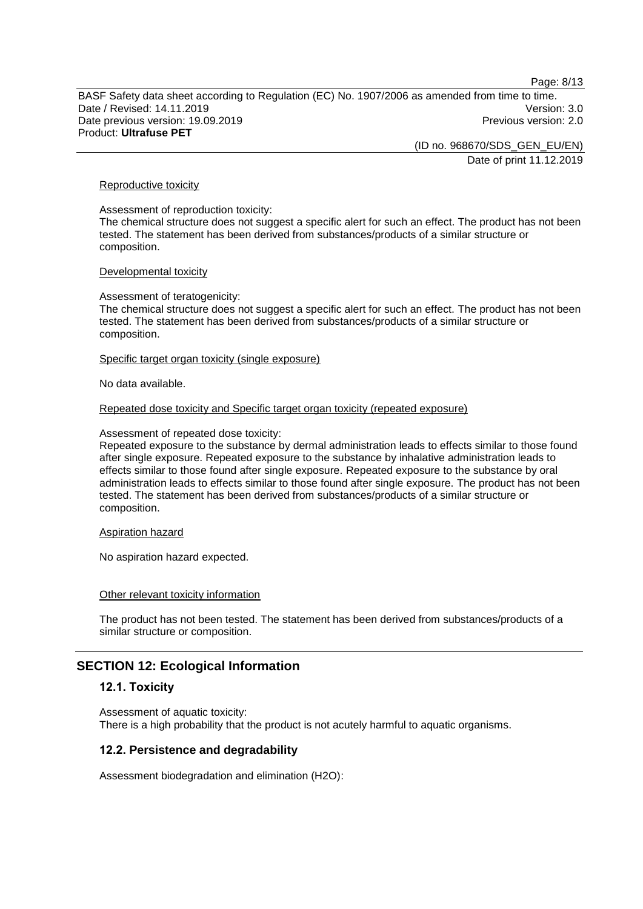Page: 8/13

BASF Safety data sheet according to Regulation (EC) No. 1907/2006 as amended from time to time. Date / Revised: 14.11.2019 Version: 3.0 Date previous version: 19.09.2019 **Previous version: 2.0** Previous version: 2.0 Product: **Ultrafuse PET**

> (ID no. 968670/SDS\_GEN\_EU/EN) Date of print 11.12.2019

#### Reproductive toxicity

Assessment of reproduction toxicity: The chemical structure does not suggest a specific alert for such an effect. The product has not been tested. The statement has been derived from substances/products of a similar structure or composition.

#### Developmental toxicity

Assessment of teratogenicity:

The chemical structure does not suggest a specific alert for such an effect. The product has not been tested. The statement has been derived from substances/products of a similar structure or composition.

#### Specific target organ toxicity (single exposure)

No data available.

#### Repeated dose toxicity and Specific target organ toxicity (repeated exposure)

Assessment of repeated dose toxicity:

Repeated exposure to the substance by dermal administration leads to effects similar to those found after single exposure. Repeated exposure to the substance by inhalative administration leads to effects similar to those found after single exposure. Repeated exposure to the substance by oral administration leads to effects similar to those found after single exposure. The product has not been tested. The statement has been derived from substances/products of a similar structure or composition.

#### Aspiration hazard

No aspiration hazard expected.

#### Other relevant toxicity information

The product has not been tested. The statement has been derived from substances/products of a similar structure or composition.

## **SECTION 12: Ecological Information**

#### **12.1. Toxicity**

Assessment of aquatic toxicity: There is a high probability that the product is not acutely harmful to aquatic organisms.

#### **12.2. Persistence and degradability**

Assessment biodegradation and elimination (H2O):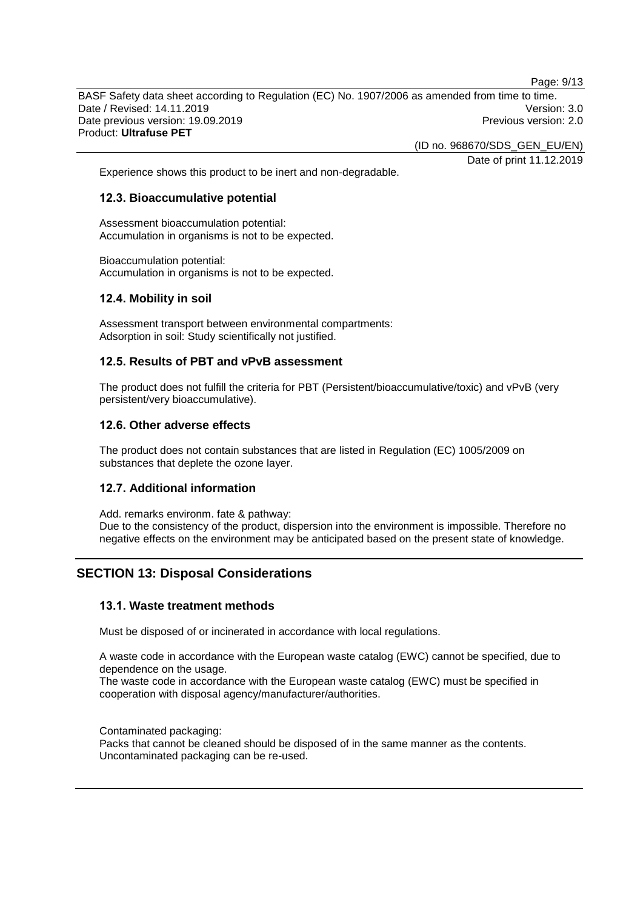Page: 9/13

BASF Safety data sheet according to Regulation (EC) No. 1907/2006 as amended from time to time. Date / Revised: 14.11.2019 Version: 3.0 Date previous version: 19.09.2019 **Previous version: 2.0** Previous version: 2.0 Product: **Ultrafuse PET**

(ID no. 968670/SDS\_GEN\_EU/EN)

Date of print 11.12.2019

Experience shows this product to be inert and non-degradable.

#### **12.3. Bioaccumulative potential**

Assessment bioaccumulation potential: Accumulation in organisms is not to be expected.

Bioaccumulation potential: Accumulation in organisms is not to be expected.

### **12.4. Mobility in soil**

Assessment transport between environmental compartments: Adsorption in soil: Study scientifically not justified.

## **12.5. Results of PBT and vPvB assessment**

The product does not fulfill the criteria for PBT (Persistent/bioaccumulative/toxic) and vPvB (very persistent/very bioaccumulative).

#### **12.6. Other adverse effects**

The product does not contain substances that are listed in Regulation (EC) 1005/2009 on substances that deplete the ozone layer.

### **12.7. Additional information**

Add. remarks environm. fate & pathway: Due to the consistency of the product, dispersion into the environment is impossible. Therefore no negative effects on the environment may be anticipated based on the present state of knowledge.

## **SECTION 13: Disposal Considerations**

#### **13.1. Waste treatment methods**

Must be disposed of or incinerated in accordance with local regulations.

A waste code in accordance with the European waste catalog (EWC) cannot be specified, due to dependence on the usage.

The waste code in accordance with the European waste catalog (EWC) must be specified in cooperation with disposal agency/manufacturer/authorities.

Contaminated packaging:

Packs that cannot be cleaned should be disposed of in the same manner as the contents. Uncontaminated packaging can be re-used.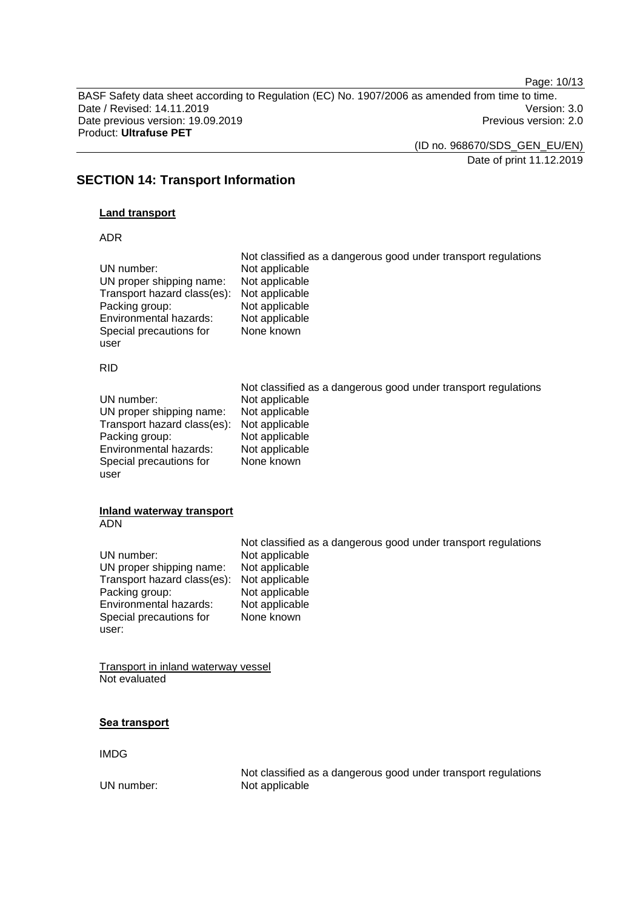Page: 10/13

BASF Safety data sheet according to Regulation (EC) No. 1907/2006 as amended from time to time. Date / Revised: 14.11.2019<br>
Date previous version: 19.09.2019<br>
Previous version: 2.0 Date previous version: 19.09.2019 Product: **Ultrafuse PET**

(ID no. 968670/SDS\_GEN\_EU/EN)

Date of print 11.12.2019

## **SECTION 14: Transport Information**

## **Land transport**

#### ADR

| UN number:<br>UN proper shipping name:<br>Transport hazard class(es):<br>Packing group:<br>Environmental hazards:<br>Special precautions for<br>user  | Not classified as a dangerous good under transport regulations<br>Not applicable<br>Not applicable<br>Not applicable<br>Not applicable<br>Not applicable<br>None known |
|-------------------------------------------------------------------------------------------------------------------------------------------------------|------------------------------------------------------------------------------------------------------------------------------------------------------------------------|
| <b>RID</b>                                                                                                                                            |                                                                                                                                                                        |
| UN number:<br>UN proper shipping name:<br>Transport hazard class(es):<br>Packing group:<br>Environmental hazards:<br>Special precautions for<br>user  | Not classified as a dangerous good under transport regulations<br>Not applicable<br>Not applicable<br>Not applicable<br>Not applicable<br>Not applicable<br>None known |
| <b>Inland waterway transport</b><br><b>ADN</b>                                                                                                        |                                                                                                                                                                        |
| UN number:<br>UN proper shipping name:<br>Transport hazard class(es):<br>Packing group:<br>Environmental hazards:<br>Special precautions for<br>user: | Not classified as a dangerous good under transport regulations<br>Not applicable<br>Not applicable<br>Not applicable<br>Not applicable<br>Not applicable<br>None known |
| <b>Transport in inland waterway vessel</b><br>Not evaluated                                                                                           |                                                                                                                                                                        |
| Sea transport                                                                                                                                         |                                                                                                                                                                        |

IMDG

Not classified as a dangerous good under transport regulations UN number: Not applicable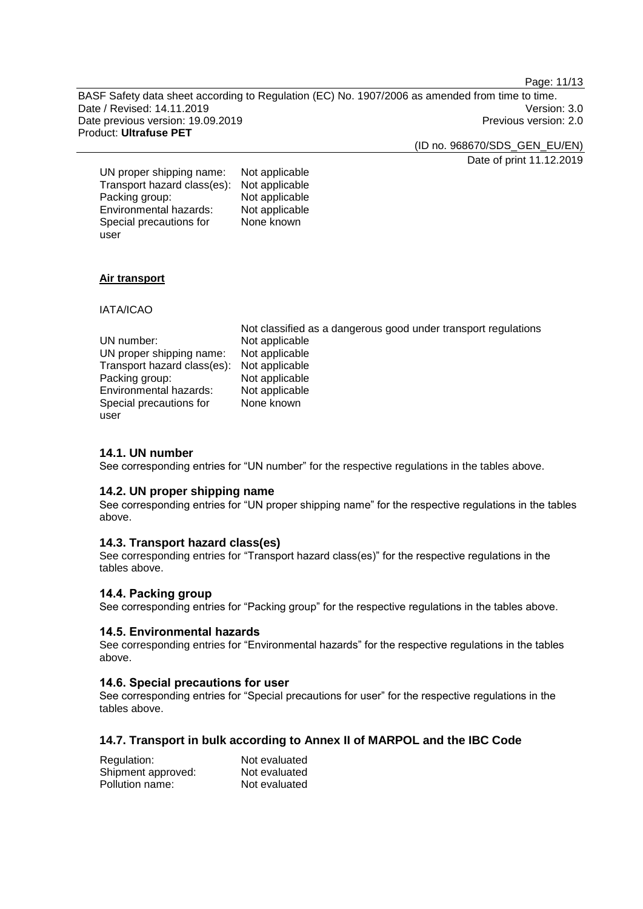Page: 11/13

BASF Safety data sheet according to Regulation (EC) No. 1907/2006 as amended from time to time. Date / Revised: 14.11.2019 Version: 3.0<br>Date previous version: 19.09.2019 Version: 2.0 Date previous version: 19.09.2019 Product: **Ultrafuse PET**

(ID no. 968670/SDS\_GEN\_EU/EN)

Date of print 11.12.2019

| UN proper shipping name:    | Not applicable |
|-----------------------------|----------------|
| Transport hazard class(es): | Not applicable |
| Packing group:              | Not applicable |
| Environmental hazards:      | Not applicable |
| Special precautions for     | None known     |
| user                        |                |

### **Air transport**

IATA/ICAO

|                                            | Not classified as a dangerous good under transport regulations |
|--------------------------------------------|----------------------------------------------------------------|
| UN number:                                 | Not applicable                                                 |
| UN proper shipping name:                   | Not applicable                                                 |
| Transport hazard class(es): Not applicable |                                                                |
| Packing group:                             | Not applicable                                                 |
| Environmental hazards:                     | Not applicable                                                 |
| Special precautions for                    | None known                                                     |
| user                                       |                                                                |

### **14.1. UN number**

See corresponding entries for "UN number" for the respective regulations in the tables above.

### **14.2. UN proper shipping name**

See corresponding entries for "UN proper shipping name" for the respective regulations in the tables above.

### **14.3. Transport hazard class(es)**

See corresponding entries for "Transport hazard class(es)" for the respective regulations in the tables above.

### **14.4. Packing group**

See corresponding entries for "Packing group" for the respective regulations in the tables above.

### **14.5. Environmental hazards**

See corresponding entries for "Environmental hazards" for the respective regulations in the tables above.

#### **14.6. Special precautions for user**

See corresponding entries for "Special precautions for user" for the respective regulations in the tables above.

### **14.7. Transport in bulk according to Annex II of MARPOL and the IBC Code**

| Regulation:        | Not evaluated |
|--------------------|---------------|
| Shipment approved: | Not evaluated |
| Pollution name:    | Not evaluated |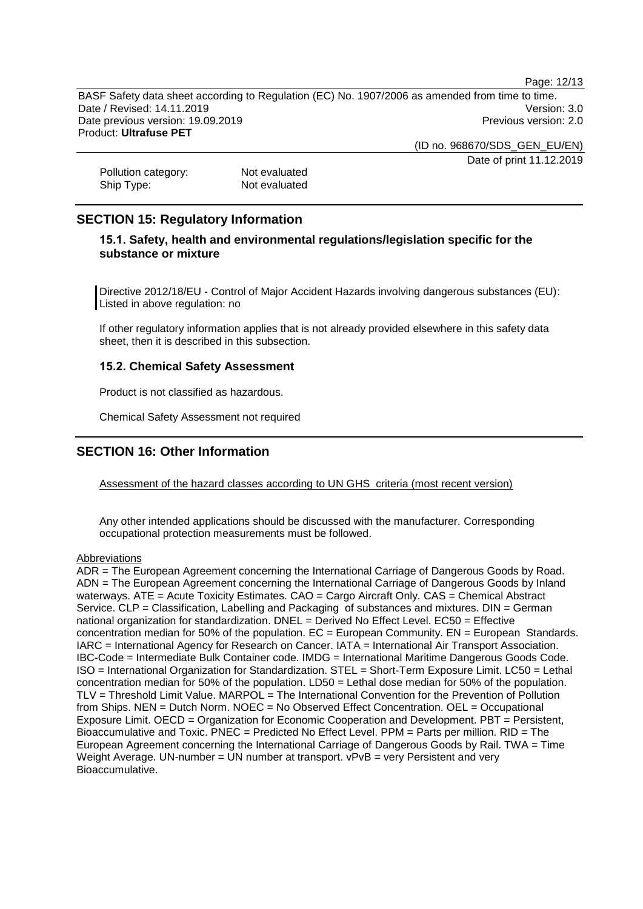Page: 12/13

BASF Safety data sheet according to Regulation (EC) No. 1907/2006 as amended from time to time. Date / Revised: 14.11.2019 Version: 3.0 Date previous version: 19.09.2019 **Previous version: 2.0** Previous version: 2.0 Product: **Ultrafuse PET**

(ID no. 968670/SDS\_GEN\_EU/EN)

Date of print 11.12.2019

Pollution category:<br>
Ship Type: Ship Type: Not evaluated Not evaluated

## **SECTION 15: Regulatory Information**

## **15.1. Safety, health and environmental regulations/legislation specific for the substance or mixture**

Directive 2012/18/EU - Control of Major Accident Hazards involving dangerous substances (EU): Listed in above regulation: no

If other regulatory information applies that is not already provided elsewhere in this safety data sheet, then it is described in this subsection.

#### **15.2. Chemical Safety Assessment**

Product is not classified as hazardous.

Chemical Safety Assessment not required

## **SECTION 16: Other Information**

Assessment of the hazard classes according to UN GHS criteria (most recent version)

Any other intended applications should be discussed with the manufacturer. Corresponding occupational protection measurements must be followed.

#### **Abbreviations**

ADR = The European Agreement concerning the International Carriage of Dangerous Goods by Road. ADN = The European Agreement concerning the International Carriage of Dangerous Goods by Inland waterways. ATE = Acute Toxicity Estimates. CAO = Cargo Aircraft Only. CAS = Chemical Abstract Service. CLP = Classification, Labelling and Packaging of substances and mixtures. DIN = German national organization for standardization. DNEL = Derived No Effect Level. EC50 = Effective concentration median for 50% of the population.  $EC = European$  Community.  $EN = European$  Standards. IARC = International Agency for Research on Cancer. IATA = International Air Transport Association. IBC-Code = Intermediate Bulk Container code. IMDG = International Maritime Dangerous Goods Code. ISO = International Organization for Standardization. STEL = Short-Term Exposure Limit. LC50 = Lethal concentration median for 50% of the population. LD50 = Lethal dose median for 50% of the population. TLV = Threshold Limit Value. MARPOL = The International Convention for the Prevention of Pollution from Ships. NEN = Dutch Norm. NOEC = No Observed Effect Concentration. OEL = Occupational Exposure Limit. OECD = Organization for Economic Cooperation and Development. PBT = Persistent, Bioaccumulative and Toxic. PNEC = Predicted No Effect Level. PPM = Parts per million. RID = The European Agreement concerning the International Carriage of Dangerous Goods by Rail. TWA = Time Weight Average. UN-number = UN number at transport. vPvB = very Persistent and very Bioaccumulative.